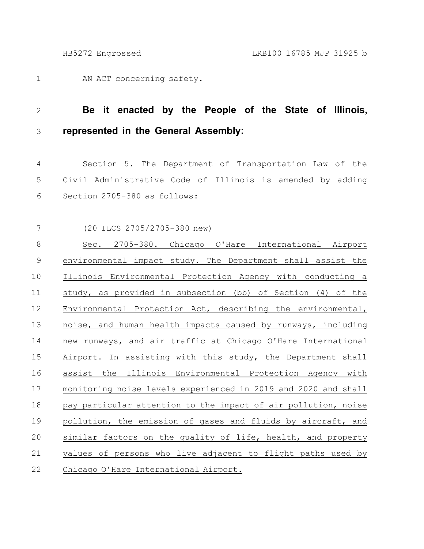AN ACT concerning safety. 1

## **Be it enacted by the People of the State of Illinois, represented in the General Assembly:** 2 3

Section 5. The Department of Transportation Law of the Civil Administrative Code of Illinois is amended by adding Section 2705-380 as follows: 4 5 6

(20 ILCS 2705/2705-380 new) 7

Sec. 2705-380. Chicago O'Hare International Airport environmental impact study. The Department shall assist the Illinois Environmental Protection Agency with conducting a study, as provided in subsection (bb) of Section (4) of the Environmental Protection Act, describing the environmental, noise, and human health impacts caused by runways, including new runways, and air traffic at Chicago O'Hare International Airport. In assisting with this study, the Department shall assist the Illinois Environmental Protection Agency with monitoring noise levels experienced in 2019 and 2020 and shall pay particular attention to the impact of air pollution, noise pollution, the emission of gases and fluids by aircraft, and similar factors on the quality of life, health, and property values of persons who live adjacent to flight paths used by Chicago O'Hare International Airport. 8 9 10 11 12 13 14 15 16 17 18 19 20 21 22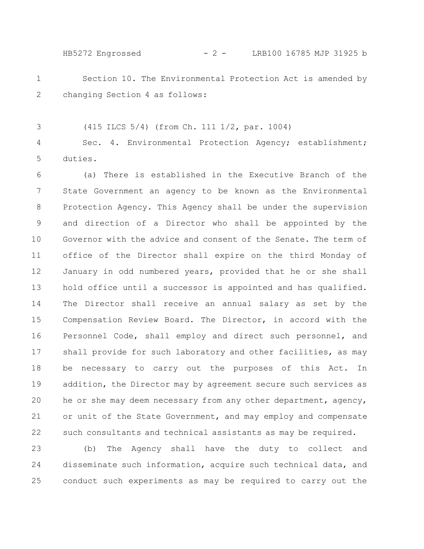HB5272 Engrossed - 2 - LRB100 16785 MJP 31925 b

Section 10. The Environmental Protection Act is amended by changing Section 4 as follows: 1 2

(415 ILCS 5/4) (from Ch. 111 1/2, par. 1004)

3

Sec. 4. Environmental Protection Agency; establishment; duties. 4 5

(a) There is established in the Executive Branch of the State Government an agency to be known as the Environmental Protection Agency. This Agency shall be under the supervision and direction of a Director who shall be appointed by the Governor with the advice and consent of the Senate. The term of office of the Director shall expire on the third Monday of January in odd numbered years, provided that he or she shall hold office until a successor is appointed and has qualified. The Director shall receive an annual salary as set by the Compensation Review Board. The Director, in accord with the Personnel Code, shall employ and direct such personnel, and shall provide for such laboratory and other facilities, as may be necessary to carry out the purposes of this Act. In addition, the Director may by agreement secure such services as he or she may deem necessary from any other department, agency, or unit of the State Government, and may employ and compensate such consultants and technical assistants as may be required. 6 7 8 9 10 11 12 13 14 15 16 17 18 19 20 21 22

(b) The Agency shall have the duty to collect and disseminate such information, acquire such technical data, and conduct such experiments as may be required to carry out the 23 24 25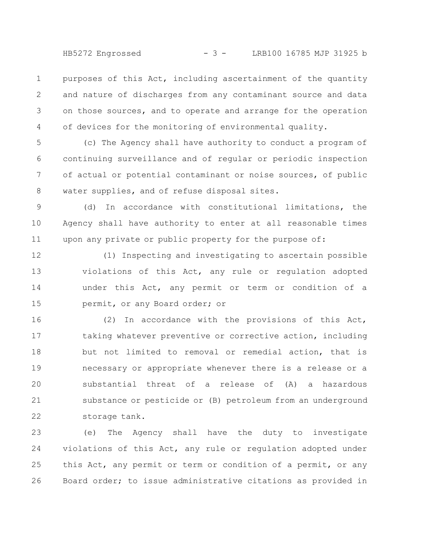HB5272 Engrossed - 3 - LRB100 16785 MJP 31925 b

purposes of this Act, including ascertainment of the quantity and nature of discharges from any contaminant source and data on those sources, and to operate and arrange for the operation of devices for the monitoring of environmental quality. 1 2 3 4

(c) The Agency shall have authority to conduct a program of continuing surveillance and of regular or periodic inspection of actual or potential contaminant or noise sources, of public water supplies, and of refuse disposal sites. 5 6 7 8

(d) In accordance with constitutional limitations, the Agency shall have authority to enter at all reasonable times upon any private or public property for the purpose of: 9 10 11

(1) Inspecting and investigating to ascertain possible violations of this Act, any rule or regulation adopted under this Act, any permit or term or condition of a permit, or any Board order; or 12 13 14 15

(2) In accordance with the provisions of this Act, taking whatever preventive or corrective action, including but not limited to removal or remedial action, that is necessary or appropriate whenever there is a release or a substantial threat of a release of (A) a hazardous substance or pesticide or (B) petroleum from an underground storage tank. 16 17 18 19 20 21 22

(e) The Agency shall have the duty to investigate violations of this Act, any rule or regulation adopted under this Act, any permit or term or condition of a permit, or any Board order; to issue administrative citations as provided in 23 24 25 26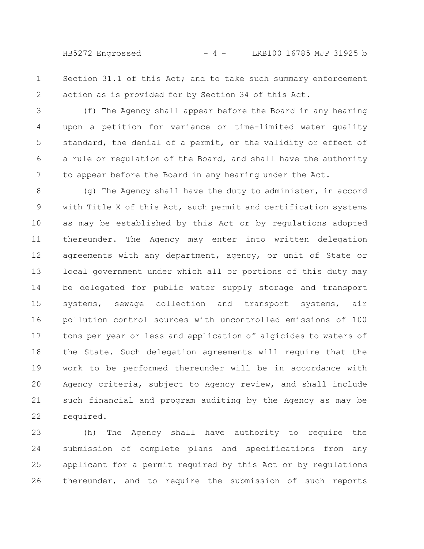HB5272 Engrossed - 4 - LRB100 16785 MJP 31925 b

Section 31.1 of this Act; and to take such summary enforcement action as is provided for by Section 34 of this Act. 1 2

(f) The Agency shall appear before the Board in any hearing upon a petition for variance or time-limited water quality standard, the denial of a permit, or the validity or effect of a rule or regulation of the Board, and shall have the authority to appear before the Board in any hearing under the Act. 3 4 5 6 7

(g) The Agency shall have the duty to administer, in accord with Title X of this Act, such permit and certification systems as may be established by this Act or by regulations adopted thereunder. The Agency may enter into written delegation agreements with any department, agency, or unit of State or local government under which all or portions of this duty may be delegated for public water supply storage and transport systems, sewage collection and transport systems, air pollution control sources with uncontrolled emissions of 100 tons per year or less and application of algicides to waters of the State. Such delegation agreements will require that the work to be performed thereunder will be in accordance with Agency criteria, subject to Agency review, and shall include such financial and program auditing by the Agency as may be required. 8 9 10 11 12 13 14 15 16 17 18 19 20 21 22

(h) The Agency shall have authority to require the submission of complete plans and specifications from any applicant for a permit required by this Act or by regulations thereunder, and to require the submission of such reports 23 24 25 26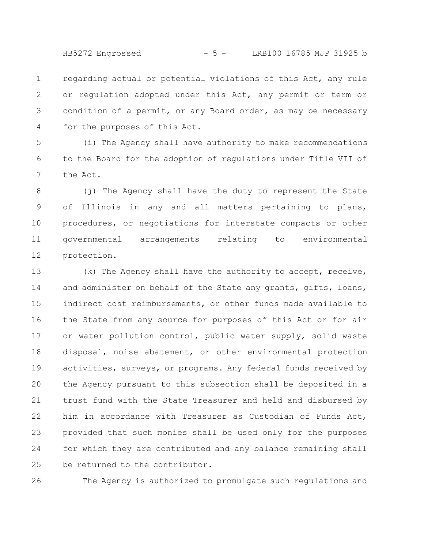HB5272 Engrossed - 5 - LRB100 16785 MJP 31925 b

regarding actual or potential violations of this Act, any rule or regulation adopted under this Act, any permit or term or condition of a permit, or any Board order, as may be necessary for the purposes of this Act. 1 2 3 4

(i) The Agency shall have authority to make recommendations to the Board for the adoption of regulations under Title VII of the Act. 5 6 7

(j) The Agency shall have the duty to represent the State of Illinois in any and all matters pertaining to plans, procedures, or negotiations for interstate compacts or other governmental arrangements relating to environmental protection. 8 9 10 11 12

(k) The Agency shall have the authority to accept, receive, and administer on behalf of the State any grants, gifts, loans, indirect cost reimbursements, or other funds made available to the State from any source for purposes of this Act or for air or water pollution control, public water supply, solid waste disposal, noise abatement, or other environmental protection activities, surveys, or programs. Any federal funds received by the Agency pursuant to this subsection shall be deposited in a trust fund with the State Treasurer and held and disbursed by him in accordance with Treasurer as Custodian of Funds Act, provided that such monies shall be used only for the purposes for which they are contributed and any balance remaining shall be returned to the contributor. 13 14 15 16 17 18 19 20 21 22 23 24 25

The Agency is authorized to promulgate such regulations and 26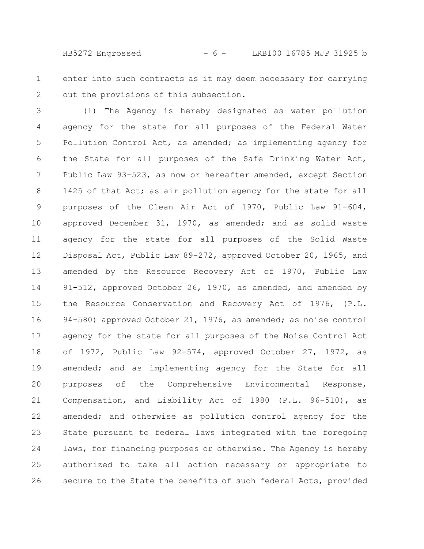HB5272 Engrossed - 6 - LRB100 16785 MJP 31925 b

enter into such contracts as it may deem necessary for carrying out the provisions of this subsection. 1 2

(l) The Agency is hereby designated as water pollution agency for the state for all purposes of the Federal Water Pollution Control Act, as amended; as implementing agency for the State for all purposes of the Safe Drinking Water Act, Public Law 93-523, as now or hereafter amended, except Section 1425 of that Act; as air pollution agency for the state for all purposes of the Clean Air Act of 1970, Public Law 91-604, approved December 31, 1970, as amended; and as solid waste agency for the state for all purposes of the Solid Waste Disposal Act, Public Law 89-272, approved October 20, 1965, and amended by the Resource Recovery Act of 1970, Public Law 91-512, approved October 26, 1970, as amended, and amended by the Resource Conservation and Recovery Act of 1976, (P.L. 94-580) approved October 21, 1976, as amended; as noise control agency for the state for all purposes of the Noise Control Act of 1972, Public Law 92-574, approved October 27, 1972, as amended; and as implementing agency for the State for all purposes of the Comprehensive Environmental Response, Compensation, and Liability Act of 1980 (P.L. 96-510), as amended; and otherwise as pollution control agency for the State pursuant to federal laws integrated with the foregoing laws, for financing purposes or otherwise. The Agency is hereby authorized to take all action necessary or appropriate to secure to the State the benefits of such federal Acts, provided 3 4 5 6 7 8 9 10 11 12 13 14 15 16 17 18 19 20 21 22 23 24 25 26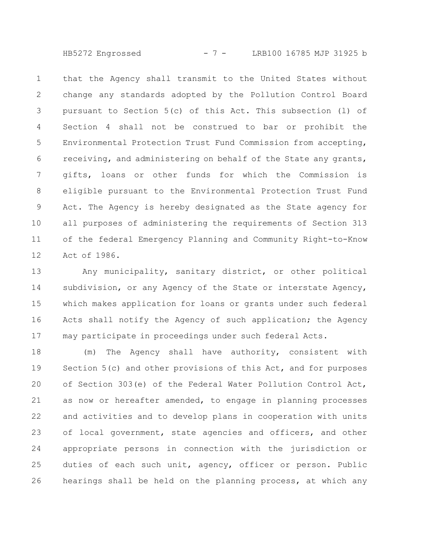HB5272 Engrossed - 7 - LRB100 16785 MJP 31925 b

that the Agency shall transmit to the United States without change any standards adopted by the Pollution Control Board pursuant to Section 5(c) of this Act. This subsection (l) of Section 4 shall not be construed to bar or prohibit the Environmental Protection Trust Fund Commission from accepting, receiving, and administering on behalf of the State any grants, gifts, loans or other funds for which the Commission is eligible pursuant to the Environmental Protection Trust Fund Act. The Agency is hereby designated as the State agency for all purposes of administering the requirements of Section 313 of the federal Emergency Planning and Community Right-to-Know Act of 1986. 1 2 3 4 5 6 7 8 9 10 11 12

Any municipality, sanitary district, or other political subdivision, or any Agency of the State or interstate Agency, which makes application for loans or grants under such federal Acts shall notify the Agency of such application; the Agency may participate in proceedings under such federal Acts. 13 14 15 16 17

(m) The Agency shall have authority, consistent with Section 5(c) and other provisions of this Act, and for purposes of Section 303(e) of the Federal Water Pollution Control Act, as now or hereafter amended, to engage in planning processes and activities and to develop plans in cooperation with units of local government, state agencies and officers, and other appropriate persons in connection with the jurisdiction or duties of each such unit, agency, officer or person. Public hearings shall be held on the planning process, at which any 18 19 20 21 22 23 24 25 26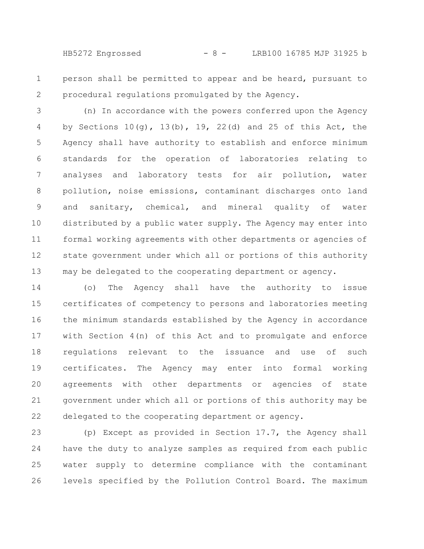HB5272 Engrossed - 8 - LRB100 16785 MJP 31925 b

person shall be permitted to appear and be heard, pursuant to procedural regulations promulgated by the Agency. 1 2

(n) In accordance with the powers conferred upon the Agency by Sections  $10(q)$ ,  $13(b)$ ,  $19$ ,  $22(d)$  and  $25$  of this Act, the Agency shall have authority to establish and enforce minimum standards for the operation of laboratories relating to analyses and laboratory tests for air pollution, water pollution, noise emissions, contaminant discharges onto land and sanitary, chemical, and mineral quality of water distributed by a public water supply. The Agency may enter into formal working agreements with other departments or agencies of state government under which all or portions of this authority may be delegated to the cooperating department or agency. 3 4 5 6 7 8 9 10 11 12 13

(o) The Agency shall have the authority to issue certificates of competency to persons and laboratories meeting the minimum standards established by the Agency in accordance with Section 4(n) of this Act and to promulgate and enforce regulations relevant to the issuance and use of such certificates. The Agency may enter into formal working agreements with other departments or agencies of state government under which all or portions of this authority may be delegated to the cooperating department or agency. 14 15 16 17 18 19 20 21 22

(p) Except as provided in Section 17.7, the Agency shall have the duty to analyze samples as required from each public water supply to determine compliance with the contaminant levels specified by the Pollution Control Board. The maximum 23 24 25 26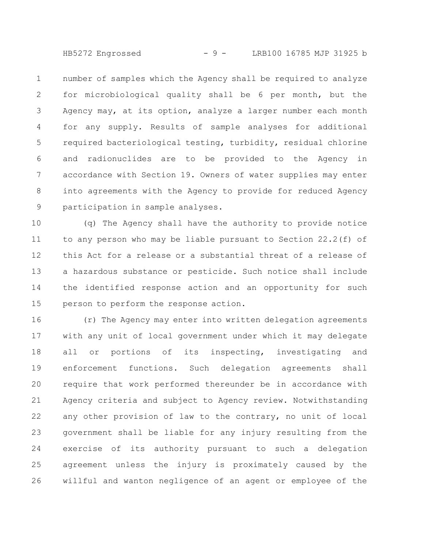HB5272 Engrossed - 9 - LRB100 16785 MJP 31925 b

number of samples which the Agency shall be required to analyze for microbiological quality shall be 6 per month, but the Agency may, at its option, analyze a larger number each month for any supply. Results of sample analyses for additional required bacteriological testing, turbidity, residual chlorine and radionuclides are to be provided to the Agency in accordance with Section 19. Owners of water supplies may enter into agreements with the Agency to provide for reduced Agency participation in sample analyses. 1 2 3 4 5 6 7 8 9

(q) The Agency shall have the authority to provide notice to any person who may be liable pursuant to Section 22.2(f) of this Act for a release or a substantial threat of a release of a hazardous substance or pesticide. Such notice shall include the identified response action and an opportunity for such person to perform the response action. 10 11 12 13 14 15

(r) The Agency may enter into written delegation agreements with any unit of local government under which it may delegate all or portions of its inspecting, investigating and enforcement functions. Such delegation agreements shall require that work performed thereunder be in accordance with Agency criteria and subject to Agency review. Notwithstanding any other provision of law to the contrary, no unit of local government shall be liable for any injury resulting from the exercise of its authority pursuant to such a delegation agreement unless the injury is proximately caused by the willful and wanton negligence of an agent or employee of the 16 17 18 19 20 21 22 23 24 25 26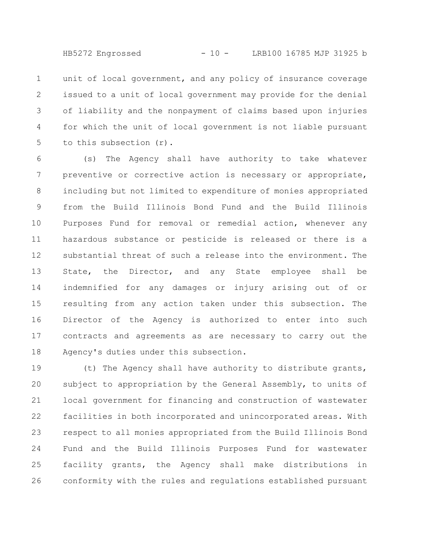unit of local government, and any policy of insurance coverage issued to a unit of local government may provide for the denial of liability and the nonpayment of claims based upon injuries for which the unit of local government is not liable pursuant to this subsection (r). 1 2 3 4 5

(s) The Agency shall have authority to take whatever preventive or corrective action is necessary or appropriate, including but not limited to expenditure of monies appropriated from the Build Illinois Bond Fund and the Build Illinois Purposes Fund for removal or remedial action, whenever any hazardous substance or pesticide is released or there is a substantial threat of such a release into the environment. The State, the Director, and any State employee shall be indemnified for any damages or injury arising out of or resulting from any action taken under this subsection. The Director of the Agency is authorized to enter into such contracts and agreements as are necessary to carry out the Agency's duties under this subsection. 6 7 8 9 10 11 12 13 14 15 16 17 18

(t) The Agency shall have authority to distribute grants, subject to appropriation by the General Assembly, to units of local government for financing and construction of wastewater facilities in both incorporated and unincorporated areas. With respect to all monies appropriated from the Build Illinois Bond Fund and the Build Illinois Purposes Fund for wastewater facility grants, the Agency shall make distributions in conformity with the rules and regulations established pursuant 19 20 21 22 23 24 25 26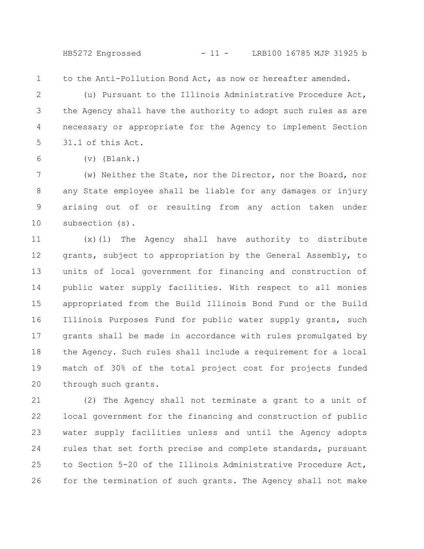HB5272 Engrossed - 11 - LRB100 16785 MJP 31925 b

1

to the Anti-Pollution Bond Act, as now or hereafter amended.

(u) Pursuant to the Illinois Administrative Procedure Act, the Agency shall have the authority to adopt such rules as are necessary or appropriate for the Agency to implement Section 31.1 of this Act. 2 3 4 5

6

(v) (Blank.)

(w) Neither the State, nor the Director, nor the Board, nor any State employee shall be liable for any damages or injury arising out of or resulting from any action taken under subsection (s). 7 8 9 10

(x)(1) The Agency shall have authority to distribute grants, subject to appropriation by the General Assembly, to units of local government for financing and construction of public water supply facilities. With respect to all monies appropriated from the Build Illinois Bond Fund or the Build Illinois Purposes Fund for public water supply grants, such grants shall be made in accordance with rules promulgated by the Agency. Such rules shall include a requirement for a local match of 30% of the total project cost for projects funded through such grants. 11 12 13 14 15 16 17 18 19 20

(2) The Agency shall not terminate a grant to a unit of local government for the financing and construction of public water supply facilities unless and until the Agency adopts rules that set forth precise and complete standards, pursuant to Section 5-20 of the Illinois Administrative Procedure Act, for the termination of such grants. The Agency shall not make 21 22 23 24 25 26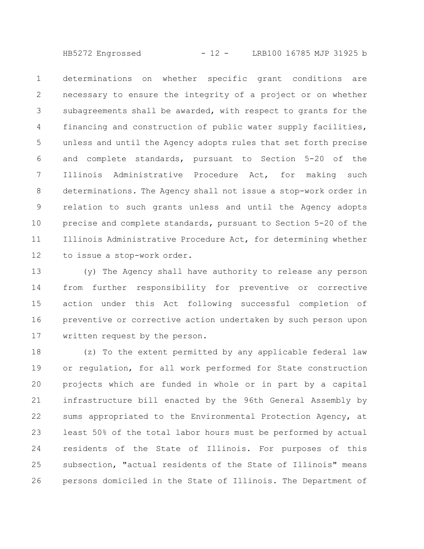HB5272 Engrossed - 12 - LRB100 16785 MJP 31925 b

determinations on whether specific grant conditions are necessary to ensure the integrity of a project or on whether subagreements shall be awarded, with respect to grants for the financing and construction of public water supply facilities, unless and until the Agency adopts rules that set forth precise and complete standards, pursuant to Section 5-20 of the Illinois Administrative Procedure Act, for making such determinations. The Agency shall not issue a stop-work order in relation to such grants unless and until the Agency adopts precise and complete standards, pursuant to Section 5-20 of the Illinois Administrative Procedure Act, for determining whether to issue a stop-work order. 1 2 3 4 5 6 7 8 9 10 11 12

(y) The Agency shall have authority to release any person from further responsibility for preventive or corrective action under this Act following successful completion of preventive or corrective action undertaken by such person upon written request by the person. 13 14 15 16 17

(z) To the extent permitted by any applicable federal law or regulation, for all work performed for State construction projects which are funded in whole or in part by a capital infrastructure bill enacted by the 96th General Assembly by sums appropriated to the Environmental Protection Agency, at least 50% of the total labor hours must be performed by actual residents of the State of Illinois. For purposes of this subsection, "actual residents of the State of Illinois" means persons domiciled in the State of Illinois. The Department of 18 19 20 21 22 23 24 25 26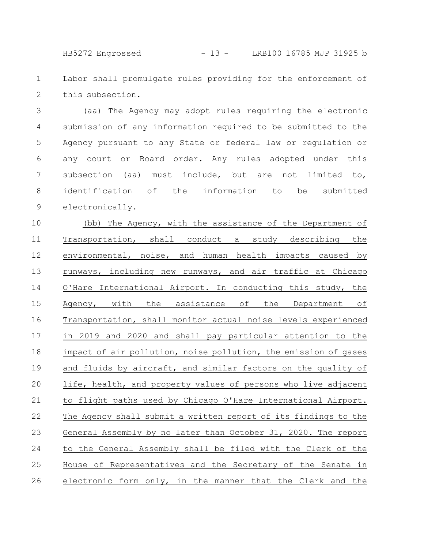HB5272 Engrossed - 13 - LRB100 16785 MJP 31925 b

Labor shall promulgate rules providing for the enforcement of this subsection. 1 2

(aa) The Agency may adopt rules requiring the electronic submission of any information required to be submitted to the Agency pursuant to any State or federal law or regulation or any court or Board order. Any rules adopted under this subsection (aa) must include, but are not limited to, identification of the information to be submitted electronically. 3 4 5 6 7 8 9

(bb) The Agency, with the assistance of the Department of Transportation, shall conduct a study describing the environmental, noise, and human health impacts caused by runways, including new runways, and air traffic at Chicago O'Hare International Airport. In conducting this study, the Agency, with the assistance of the Department of Transportation, shall monitor actual noise levels experienced in 2019 and 2020 and shall pay particular attention to the impact of air pollution, noise pollution, the emission of gases and fluids by aircraft, and similar factors on the quality of life, health, and property values of persons who live adjacent to flight paths used by Chicago O'Hare International Airport. The Agency shall submit a written report of its findings to the General Assembly by no later than October 31, 2020. The report to the General Assembly shall be filed with the Clerk of the House of Representatives and the Secretary of the Senate in electronic form only, in the manner that the Clerk and the 10 11 12 13 14 15 16 17 18 19 20 21 22 23 24 25 26